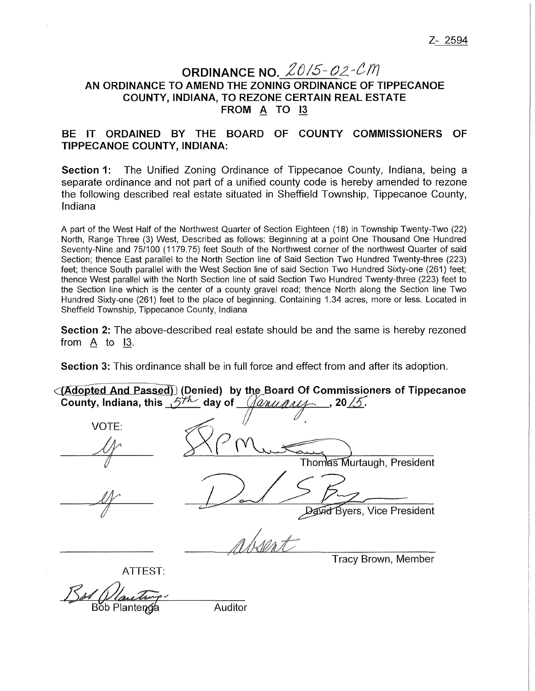## **ORDINANCE NO.**  $20/5 - 02 - CM$ **AN ORDINANCE TO AMEND THE ZONING ORDINANCE OF TIPPECANOE COUNTY, INDIANA, TO REZONE CERTAIN REAL ESTATE FROM A TO 13**

## **BE IT ORDAINED BY THE BOARD OF COUNTY COMMISSIONERS OF TIPPECANOE COUNTY, INDIANA:**

**Section 1:** The Unified Zoning Ordinance of Tippecanoe County, Indiana, being a separate ordinance and not part of a unified county code is hereby amended to rezone the following described real estate situated in Sheffield Township, Tippecanoe County, Indiana

A part of the West Half of the Northwest Quarter of Section Eighteen (18) in Township Twenty-Two (22) North, Range Three (3) West, Described as follows: Beginning at a point One Thousand One Hundred Seventy-Nine and 75/100 (1179.75) feet South of the Northwest corner of the northwest Quarter of said Section; thence East parallel to the North Section line of Said Section Two Hundred Twenty-three (223) feet; thence South parallel with the West Section line of said Section Two Hundred Sixty-one (261) feet; thence West parallel with the North Section line of said Section Two Hundred Twenty-three (223) feet to the Section line which is the center of a county gravel road; thence North along the Section line Two Hundred Sixty-one (261) feet to the place of beginning. Containing 1.34 acres, more or less. Located in Sheffield Township, Tippecanoe County, Indiana

**Section 2:** The above-described real estate should be and the same is hereby rezoned from  $A$  to  $13$ .

**Section** 3: This ordinance shall be in full force and effect from and after its adoption.

 $\langle$  **(Adopted And Passed)** (Denied) by the Board Of Commissioners of Tippecanoe **County, Indiana, this**  $5^{7/2}$  day of  $\sqrt{2n\mu n\mu\lambda}$ , 20.15.

| VOTE:   | Thomas Murtaugh, President      |
|---------|---------------------------------|
|         | <b>He Byers, Vice President</b> |
| ATTEST: | Tracy Brown, Member             |

Bot *Dland* 

Auditor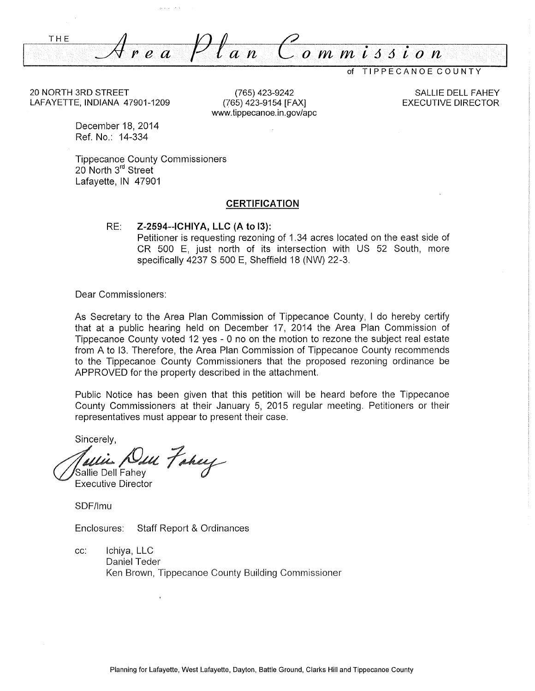*:.\_\_;I/: r e a* Pf *an*  THE  $\overline{o}$   $\overline{m}$   $\overline{n}$  is sign

of TIPPECANOE COUNTY

20 NORTH 3RD STREET LAFAYETTE, INDIANA 47901-1209

(765) 423-9242 (765) 423-9154 [FAX] www.tippecanoe.in.gov/ape

SALLIE DELL FAHEY EXECUTIVE DIRECTOR

December 18, 2014 Ref. No.: 14-334

Tippecanoe County Commissioners 20 North 3<sup>rd</sup> Street Lafayette, IN 47901

#### **CERTIFICATION**

#### RE: **Z-2594--ICHIYA, LLC (A to 13):**

Petitioner is requesting rezoning of 1.34 acres located on the east side of CR 500 E, just north of its intersection with US 52 South, more specifically 4237 S 500 E, Sheffield 18 (NW) 22-3.

Dear Commissioners:

As Secretary to the Area Plan Commission of Tippecanoe County, I do hereby certify that at a public hearing held on December 17, 2014 the Area Plan Commission of Tippecanoe County voted 12 yes - O no on the motion to rezone the subject real estate from A to 13. Therefore, the Area Plan Commission of Tippecanoe County recommends to the Tippecanoe County Commissioners that the proposed rezoning ordinance be APPROVED for the property described in the attachment.

Public Notice has been given that this petition will be heard before the Tippecanoe County Commissioners at their January 5, 2015 regular meeting. Petitioners or their representatives must appear to present their case.

Sincerely,

Sallie Dell Fahev m Fahey

Executive Director

SDF/lmu

Enclosures: Staff Report & Ordinances

cc: lchiya, LLC Daniel Teder Ken Brown, Tippecanoe County Building Commissioner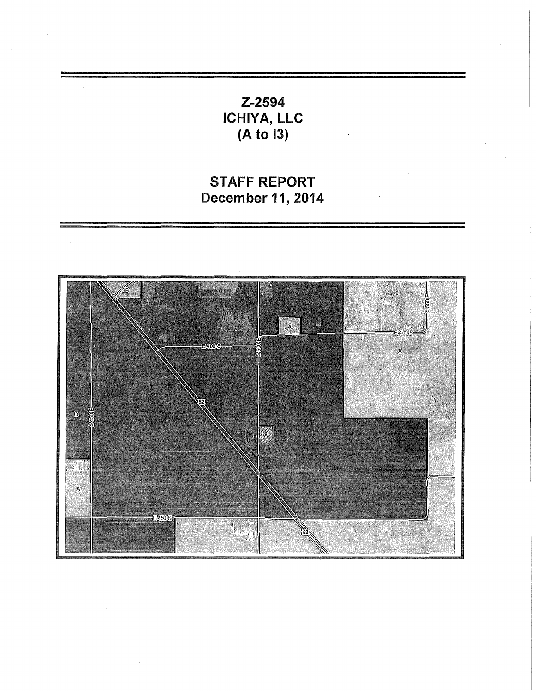Z-2594 ICHIYA, LLC (A to 13)

 $\ddot{\phantom{0}}$ 

# STAFF REPORT December 11, 2014

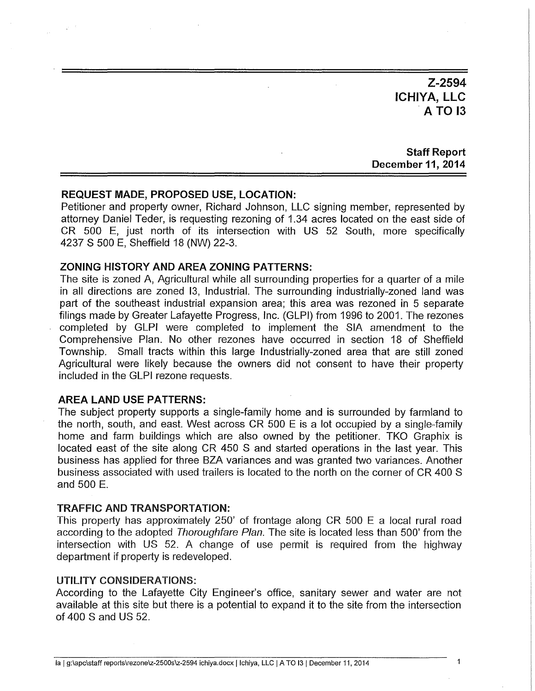**Z-2594 ICHIYA, LLC**  . **A TO 13** 

**Staff Report December 11, 2014** 

#### **REQUEST MADE, PROPOSED USE, LOCATION:**

Petitioner and property owner, Richard Johnson, LLC signing member, represented by attorney Daniel Teder, is requesting rezoning of 1.34 acres located on the east side of CR 500 E, just north of its intersection with US 52 South, more specificaily 4237 S 500 E, Sheffield 18 (NW) 22-3.

### **ZONING HISTORY AND AREA ZONING PATTERNS:**

The site is zoned A, Agricultural while all surrounding properties for a quarter of a mile in all directions are zoned 13, Industrial. The surrounding industrially-zoned land was part of the southeast industrial expansion area; this area was rezoned in 5 separate filings made by Greater Lafayette Progress, Inc. (GLPI) from 1996 to 2001. The rezones completed by GLPI were completed to implement the SIA amendment to the Comprehensive Plan. No other rezones have occurred in section 18 of Sheffield Township. Small tracts within this large Industrially-zoned area that are still zoned Agricultural were likely because the owners did not consent to have their property included in the GLPI rezone requests.

#### **AREA LAND USE PATTERNS:**

 $\chi^2$  ,  $\delta$ 

The subject property supports a single-family home and is surrounded by farmland to the north, south, and east. West across CR 500 E is a lot occupied by a single-family home and farm buildings which are also owned by the petitioner. TKO Graphix is located east of the site along CR 450 S and started operations in the last year. This business has applied for three BZA variances and was granted two variances. Another business associated with used trailers is located to the north on the corner of CR 400 S and 500 E.

#### TRAFFIC AND TRANSPORTATION:

This property has approximately 250' of frontage along CR 500 E a local rural road according to the adopted Thoroughfare Plan. The site is located less than 500' from the intersection with US 52. A change of use permit is required from the highway department if property is redeveloped.

### UTILITY CONSIDERATIONS:

According to the Lafayette City Engineer's office, sanitary sewer and water are not available at this site but there is a potential to expand it to the site from the intersection of 400 S and US 52.

 $\overline{1}$